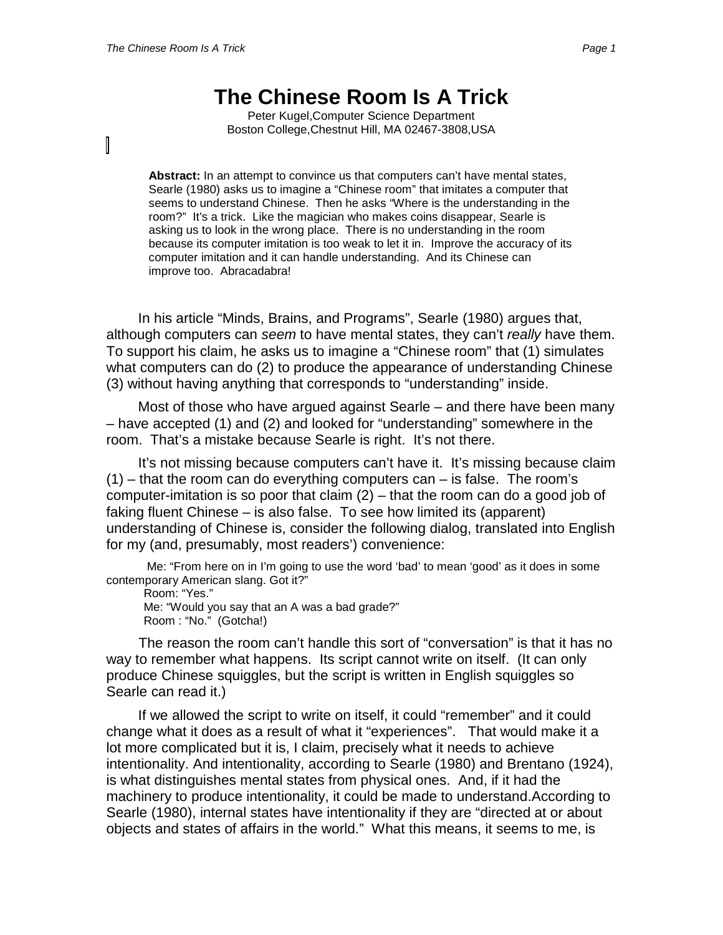## **The Chinese Room Is A Trick**

Peter Kugel,Computer Science Department Boston College,Chestnut Hill, MA 02467-3808,USA

**Abstract:** In an attempt to convince us that computers can't have mental states, Searle (1980) asks us to imagine a "Chinese room" that imitates a computer that seems to understand Chinese. Then he asks "Where is the understanding in the room?" It's a trick. Like the magician who makes coins disappear, Searle is asking us to look in the wrong place. There is no understanding in the room because its computer imitation is too weak to let it in. Improve the accuracy of its computer imitation and it can handle understanding. And its Chinese can improve too. Abracadabra!

In his article "Minds, Brains, and Programs", Searle (1980) argues that, although computers can *seem* to have mental states, they can't *really* have them. To support his claim, he asks us to imagine a "Chinese room" that (1) simulates what computers can do (2) to produce the appearance of understanding Chinese (3) without having anything that corresponds to "understanding" inside.

Most of those who have argued against Searle – and there have been many – have accepted (1) and (2) and looked for "understanding" somewhere in the room. That's a mistake because Searle is right. It's not there.

It's not missing because computers can't have it. It's missing because claim  $(1)$  – that the room can do everything computers can – is false. The room's computer-imitation is so poor that claim (2) – that the room can do a good job of faking fluent Chinese – is also false. To see how limited its (apparent) understanding of Chinese is, consider the following dialog, translated into English for my (and, presumably, most readers') convenience:

 Me: "From here on in I'm going to use the word 'bad' to mean 'good' as it does in some contemporary American slang. Got it?"

Room: "Yes." Me: "Would you say that an A was a bad grade?" Room : "No." (Gotcha!)

The reason the room can't handle this sort of "conversation" is that it has no way to remember what happens. Its script cannot write on itself. (It can only produce Chinese squiggles, but the script is written in English squiggles so Searle can read it.)

If we allowed the script to write on itself, it could "remember" and it could change what it does as a result of what it "experiences". That would make it a lot more complicated but it is, I claim, precisely what it needs to achieve intentionality. And intentionality, according to Searle (1980) and Brentano (1924), is what distinguishes mental states from physical ones. And, if it had the machinery to produce intentionality, it could be made to understand.According to Searle (1980), internal states have intentionality if they are "directed at or about objects and states of affairs in the world." What this means, it seems to me, is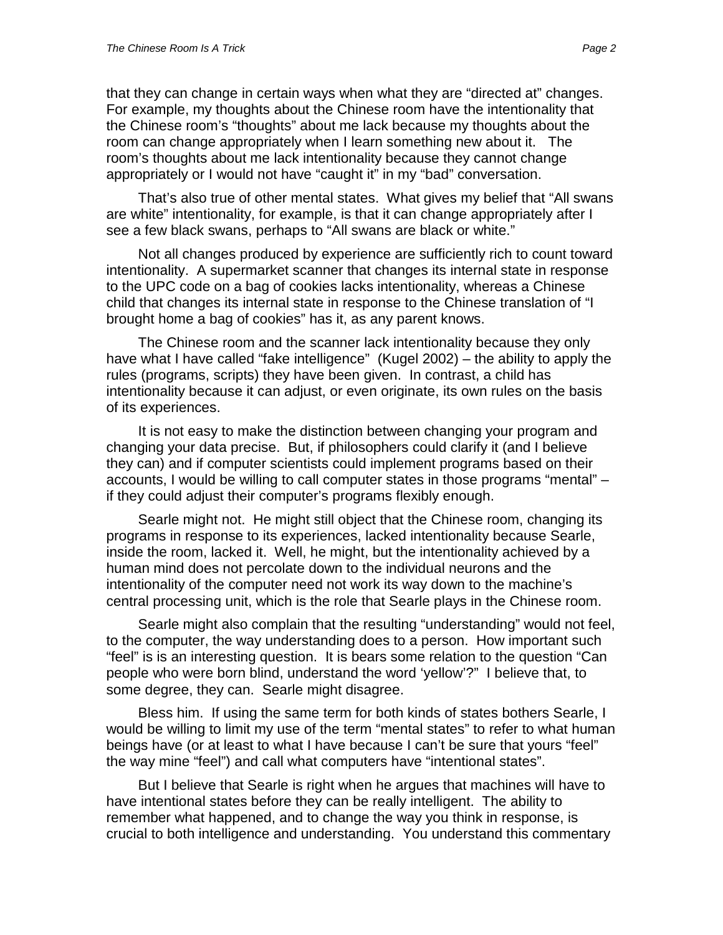that they can change in certain ways when what they are "directed at" changes. For example, my thoughts about the Chinese room have the intentionality that the Chinese room's "thoughts" about me lack because my thoughts about the room can change appropriately when I learn something new about it. The room's thoughts about me lack intentionality because they cannot change appropriately or I would not have "caught it" in my "bad" conversation.

That's also true of other mental states. What gives my belief that "All swans are white" intentionality, for example, is that it can change appropriately after I see a few black swans, perhaps to "All swans are black or white."

Not all changes produced by experience are sufficiently rich to count toward intentionality. A supermarket scanner that changes its internal state in response to the UPC code on a bag of cookies lacks intentionality, whereas a Chinese child that changes its internal state in response to the Chinese translation of "I brought home a bag of cookies" has it, as any parent knows.

The Chinese room and the scanner lack intentionality because they only have what I have called "fake intelligence" (Kugel 2002) – the ability to apply the rules (programs, scripts) they have been given. In contrast, a child has intentionality because it can adjust, or even originate, its own rules on the basis of its experiences.

It is not easy to make the distinction between changing your program and changing your data precise. But, if philosophers could clarify it (and I believe they can) and if computer scientists could implement programs based on their accounts, I would be willing to call computer states in those programs "mental" – if they could adjust their computer's programs flexibly enough.

Searle might not. He might still object that the Chinese room, changing its programs in response to its experiences, lacked intentionality because Searle, inside the room, lacked it. Well, he might, but the intentionality achieved by a human mind does not percolate down to the individual neurons and the intentionality of the computer need not work its way down to the machine's central processing unit, which is the role that Searle plays in the Chinese room.

Searle might also complain that the resulting "understanding" would not feel, to the computer, the way understanding does to a person. How important such "feel" is is an interesting question. It is bears some relation to the question "Can people who were born blind, understand the word 'yellow'?" I believe that, to some degree, they can. Searle might disagree.

Bless him. If using the same term for both kinds of states bothers Searle, I would be willing to limit my use of the term "mental states" to refer to what human beings have (or at least to what I have because I can't be sure that yours "feel" the way mine "feel") and call what computers have "intentional states".

But I believe that Searle is right when he argues that machines will have to have intentional states before they can be really intelligent. The ability to remember what happened, and to change the way you think in response, is crucial to both intelligence and understanding. You understand this commentary